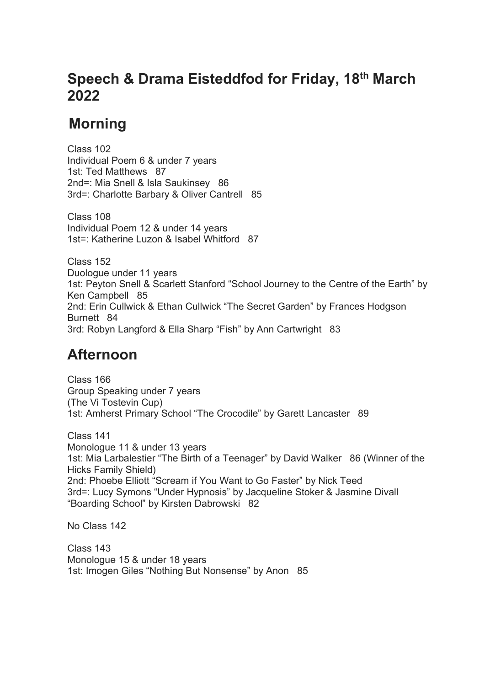## **Speech & Drama Eisteddfod for Friday, 18th March 2022**

## **Morning**

 Class 102 Individual Poem 6 & under 7 years 1st: Ted Matthews 87 2nd=: Mia Snell & Isla Saukinsey 86 3rd=: Charlotte Barbary & Oliver Cantrell 85

 Class 108 Individual Poem 12 & under 14 years 1st=: Katherine Luzon & Isabel Whitford 87

 Class 152 Duologue under 11 years 1st: Peyton Snell & Scarlett Stanford "School Journey to the Centre of the Earth" by Ken Campbell 85 2nd: Erin Cullwick & Ethan Cullwick "The Secret Garden" by Frances Hodgson Burnett 84 3rd: Robyn Langford & Ella Sharp "Fish" by Ann Cartwright 83

## **Afternoon**

 Class 166 Group Speaking under 7 years (The Vi Tostevin Cup) 1st: Amherst Primary School "The Crocodile" by Garett Lancaster 89

 Class 141 Monologue 11 & under 13 years 1st: Mia Larbalestier "The Birth of a Teenager" by David Walker 86 (Winner of the Hicks Family Shield) 2nd: Phoebe Elliott "Scream if You Want to Go Faster" by Nick Teed 3rd=: Lucy Symons "Under Hypnosis" by Jacqueline Stoker & Jasmine Divall "Boarding School" by Kirsten Dabrowski 82

No Class 142

Class 143 Monologue 15 & under 18 years 1st: Imogen Giles "Nothing But Nonsense" by Anon 85